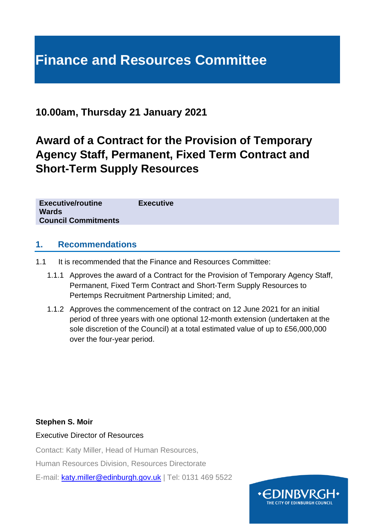# **Finance and Resources Committee**

## **10.00am, Thursday 21 January 2021**

# **Award of a Contract for the Provision of Temporary Agency Staff, Permanent, Fixed Term Contract and Short-Term Supply Resources**

#### **1. Recommendations**

- 1.1 It is recommended that the Finance and Resources Committee:
	- 1.1.1 Approves the award of a Contract for the Provision of Temporary Agency Staff, Permanent, Fixed Term Contract and Short-Term Supply Resources to Pertemps Recruitment Partnership Limited; and,
	- 1.1.2 Approves the commencement of the contract on 12 June 2021 for an initial period of three years with one optional 12-month extension (undertaken at the sole discretion of the Council) at a total estimated value of up to £56,000,000 over the four-year period.

#### **Stephen S. Moir**

Executive Director of Resources

Contact: Katy Miller, Head of Human Resources,

Human Resources Division, Resources Directorate

E-mail: [katy.miller@edinburgh.gov.uk](mailto:katy.miller@edinburgh.gov.uk) | Tel: 0131 469 5522

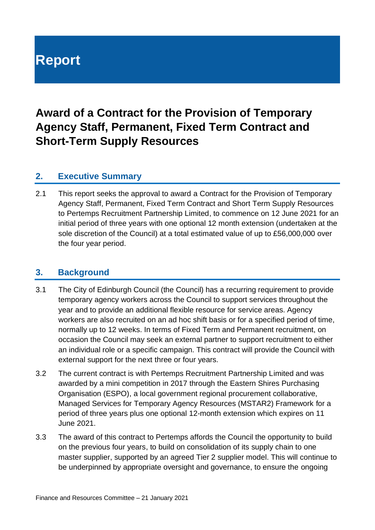# **Report**

# **Award of a Contract for the Provision of Temporary Agency Staff, Permanent, Fixed Term Contract and Short-Term Supply Resources**

#### **2. Executive Summary**

2.1 This report seeks the approval to award a Contract for the Provision of Temporary Agency Staff, Permanent, Fixed Term Contract and Short Term Supply Resources to Pertemps Recruitment Partnership Limited, to commence on 12 June 2021 for an initial period of three years with one optional 12 month extension (undertaken at the sole discretion of the Council) at a total estimated value of up to £56,000,000 over the four year period.

#### **3. Background**

- 3.1 The City of Edinburgh Council (the Council) has a recurring requirement to provide temporary agency workers across the Council to support services throughout the year and to provide an additional flexible resource for service areas. Agency workers are also recruited on an ad hoc shift basis or for a specified period of time, normally up to 12 weeks. In terms of Fixed Term and Permanent recruitment, on occasion the Council may seek an external partner to support recruitment to either an individual role or a specific campaign. This contract will provide the Council with external support for the next three or four years.
- 3.2 The current contract is with Pertemps Recruitment Partnership Limited and was awarded by a mini competition in 2017 through the Eastern Shires Purchasing Organisation (ESPO), a local government regional procurement collaborative, Managed Services for Temporary Agency Resources (MSTAR2) Framework for a period of three years plus one optional 12-month extension which expires on 11 June 2021.
- 3.3 The award of this contract to Pertemps affords the Council the opportunity to build on the previous four years, to build on consolidation of its supply chain to one master supplier, supported by an agreed Tier 2 supplier model. This will continue to be underpinned by appropriate oversight and governance, to ensure the ongoing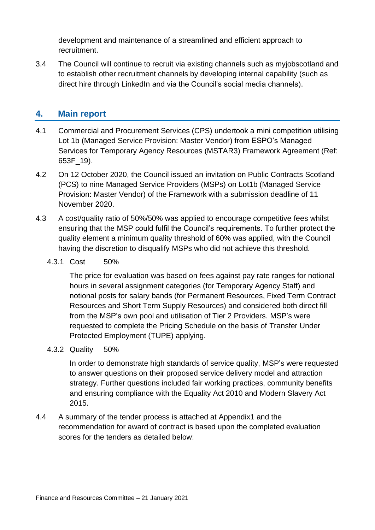development and maintenance of a streamlined and efficient approach to recruitment.

3.4 The Council will continue to recruit via existing channels such as myjobscotland and to establish other recruitment channels by developing internal capability (such as direct hire through LinkedIn and via the Council's social media channels).

#### **4. Main report**

- 4.1 Commercial and Procurement Services (CPS) undertook a mini competition utilising Lot 1b (Managed Service Provision: Master Vendor) from ESPO's Managed Services for Temporary Agency Resources (MSTAR3) Framework Agreement (Ref: 653F\_19).
- 4.2 On 12 October 2020, the Council issued an invitation on Public Contracts Scotland (PCS) to nine Managed Service Providers (MSPs) on Lot1b (Managed Service Provision: Master Vendor) of the Framework with a submission deadline of 11 November 2020.
- 4.3 A cost/quality ratio of 50%/50% was applied to encourage competitive fees whilst ensuring that the MSP could fulfil the Council's requirements. To further protect the quality element a minimum quality threshold of 60% was applied, with the Council having the discretion to disqualify MSPs who did not achieve this threshold.
	- 4.3.1 Cost 50%

The price for evaluation was based on fees against pay rate ranges for notional hours in several assignment categories (for Temporary Agency Staff) and notional posts for salary bands (for Permanent Resources, Fixed Term Contract Resources and Short Term Supply Resources) and considered both direct fill from the MSP's own pool and utilisation of Tier 2 Providers. MSP's were requested to complete the Pricing Schedule on the basis of Transfer Under Protected Employment (TUPE) applying.

4.3.2 Quality 50%

In order to demonstrate high standards of service quality, MSP's were requested to answer questions on their proposed service delivery model and attraction strategy. Further questions included fair working practices, community benefits and ensuring compliance with the Equality Act 2010 and Modern Slavery Act 2015.

4.4 A summary of the tender process is attached at Appendix1 and the recommendation for award of contract is based upon the completed evaluation scores for the tenders as detailed below: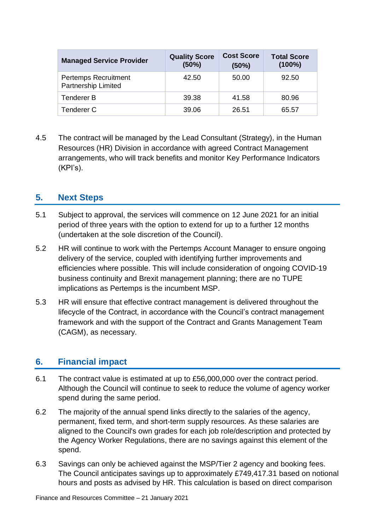| <b>Managed Service Provider</b>             | <b>Quality Score</b><br>(50%) | <b>Cost Score</b><br>(50%) | <b>Total Score</b><br>$(100\%)$ |
|---------------------------------------------|-------------------------------|----------------------------|---------------------------------|
| Pertemps Recruitment<br>Partnership Limited | 42.50                         | 50.00                      | 92.50                           |
| <b>Tenderer B</b>                           | 39.38                         | 41.58                      | 80.96                           |
| Tenderer C                                  | 39.06                         | 26.51                      | 65.57                           |

4.5 The contract will be managed by the Lead Consultant (Strategy), in the Human Resources (HR) Division in accordance with agreed Contract Management arrangements, who will track benefits and monitor Key Performance Indicators (KPI's).

### **5. Next Steps**

- 5.1 Subject to approval, the services will commence on 12 June 2021 for an initial period of three years with the option to extend for up to a further 12 months (undertaken at the sole discretion of the Council).
- 5.2 HR will continue to work with the Pertemps Account Manager to ensure ongoing delivery of the service, coupled with identifying further improvements and efficiencies where possible. This will include consideration of ongoing COVID-19 business continuity and Brexit management planning; there are no TUPE implications as Pertemps is the incumbent MSP.
- 5.3 HR will ensure that effective contract management is delivered throughout the lifecycle of the Contract, in accordance with the Council's contract management framework and with the support of the Contract and Grants Management Team (CAGM), as necessary.

#### **6. Financial impact**

- 6.1 The contract value is estimated at up to £56,000,000 over the contract period. Although the Council will continue to seek to reduce the volume of agency worker spend during the same period.
- 6.2 The majority of the annual spend links directly to the salaries of the agency, permanent, fixed term, and short-term supply resources. As these salaries are aligned to the Council's own grades for each job role/description and protected by the Agency Worker Regulations, there are no savings against this element of the spend.
- 6.3 Savings can only be achieved against the MSP/Tier 2 agency and booking fees. The Council anticipates savings up to approximately £749,417.31 based on notional hours and posts as advised by HR. This calculation is based on direct comparison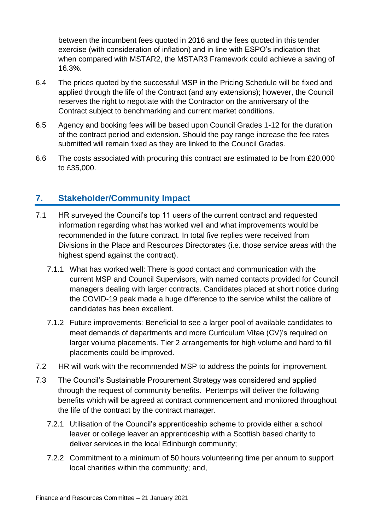between the incumbent fees quoted in 2016 and the fees quoted in this tender exercise (with consideration of inflation) and in line with ESPO's indication that when compared with MSTAR2, the MSTAR3 Framework could achieve a saving of 16.3%.

- 6.4 The prices quoted by the successful MSP in the Pricing Schedule will be fixed and applied through the life of the Contract (and any extensions); however, the Council reserves the right to negotiate with the Contractor on the anniversary of the Contract subject to benchmarking and current market conditions.
- 6.5 Agency and booking fees will be based upon Council Grades 1-12 for the duration of the contract period and extension. Should the pay range increase the fee rates submitted will remain fixed as they are linked to the Council Grades.
- 6.6 The costs associated with procuring this contract are estimated to be from £20,000 to £35,000.

### **7. Stakeholder/Community Impact**

- 7.1 HR surveyed the Council's top 11 users of the current contract and requested information regarding what has worked well and what improvements would be recommended in the future contract. In total five replies were received from Divisions in the Place and Resources Directorates (i.e. those service areas with the highest spend against the contract).
	- 7.1.1 What has worked well: There is good contact and communication with the current MSP and Council Supervisors, with named contacts provided for Council managers dealing with larger contracts. Candidates placed at short notice during the COVID-19 peak made a huge difference to the service whilst the calibre of candidates has been excellent.
	- 7.1.2 Future improvements: Beneficial to see a larger pool of available candidates to meet demands of departments and more Curriculum Vitae (CV)'s required on larger volume placements. Tier 2 arrangements for high volume and hard to fill placements could be improved.
- 7.2 HR will work with the recommended MSP to address the points for improvement.
- 7.3 The Council's Sustainable Procurement Strategy was considered and applied through the request of community benefits. Pertemps will deliver the following benefits which will be agreed at contract commencement and monitored throughout the life of the contract by the contract manager.
	- 7.2.1 Utilisation of the Council's apprenticeship scheme to provide either a school leaver or college leaver an apprenticeship with a Scottish based charity to deliver services in the local Edinburgh community;
	- 7.2.2 Commitment to a minimum of 50 hours volunteering time per annum to support local charities within the community; and,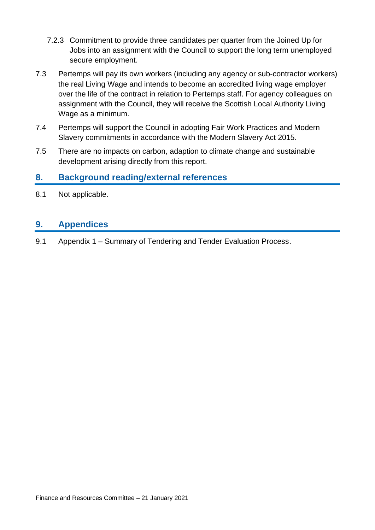- 7.2.3 Commitment to provide three candidates per quarter from the Joined Up for Jobs into an assignment with the Council to support the long term unemployed secure employment.
- 7.3 Pertemps will pay its own workers (including any agency or sub-contractor workers) the real Living Wage and intends to become an accredited living wage employer over the life of the contract in relation to Pertemps staff. For agency colleagues on assignment with the Council, they will receive the Scottish Local Authority Living Wage as a minimum.
- 7.4 Pertemps will support the Council in adopting Fair Work Practices and Modern Slavery commitments in accordance with the Modern Slavery Act 2015.
- 7.5 There are no impacts on carbon, adaption to climate change and sustainable development arising directly from this report.

#### **8. Background reading/external references**

8.1 Not applicable.

#### **9. Appendices**

9.1 Appendix 1 – Summary of Tendering and Tender Evaluation Process.